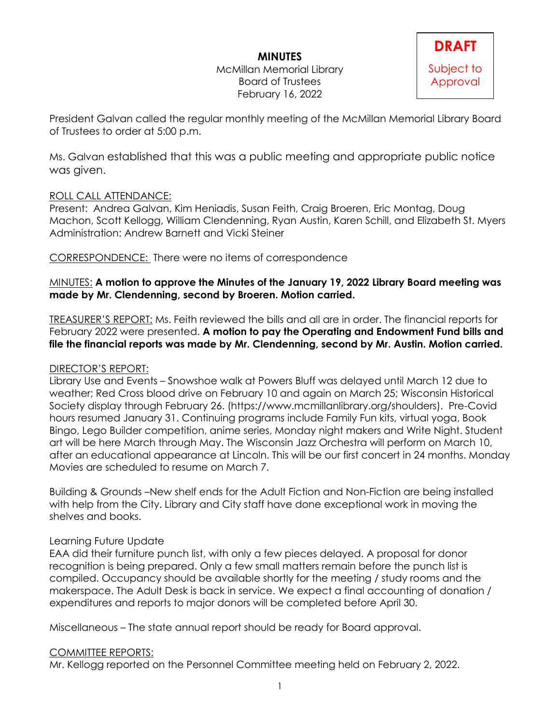# **MINUTES**

McMillan Memorial Library Board of Trustees February 16, 2022



President Galvan called the regular monthly meeting of the McMillan Memorial Library Board of Trustees to order at 5:00 p.m.

Ms. Galvan established that this was a public meeting and appropriate public notice was given.

### ROLL CALL ATTENDANCE:

Present: Andrea Galvan, Kim Heniadis, Susan Feith, Craig Broeren, Eric Montag, Doug Machon, Scott Kellogg, William Clendenning, Ryan Austin, Karen Schill, and Elizabeth St. Myers Administration: Andrew Barnett and Vicki Steiner

CORRESPONDENCE: There were no items of correspondence

### MINUTES: **A motion to approve the Minutes of the January 19, 2022 Library Board meeting was made by Mr. Clendenning, second by Broeren. Motion carried.**

TREASURER'S REPORT: Ms. Feith reviewed the bills and all are in order. The financial reports for February 2022 were presented. **A motion to pay the Operating and Endowment Fund bills and file the financial reports was made by Mr. Clendenning, second by Mr. Austin. Motion carried.**

# DIRECTOR'S REPORT:

Library Use and Events – Snowshoe walk at Powers Bluff was delayed until March 12 due to weather; Red Cross blood drive on February 10 and again on March 25; Wisconsin Historical Society display through February 26. (https://www.mcmillanlibrary.org/shoulders). Pre-Covid hours resumed January 31. Continuing programs include Family Fun kits, virtual yoga, Book Bingo, Lego Builder competition, anime series, Monday night makers and Write Night. Student art will be here March through May. The Wisconsin Jazz Orchestra will perform on March 10, after an educational appearance at Lincoln. This will be our first concert in 24 months. Monday Movies are scheduled to resume on March 7.

Building & Grounds –New shelf ends for the Adult Fiction and Non-Fiction are being installed with help from the City. Library and City staff have done exceptional work in moving the shelves and books.

### Learning Future Update

EAA did their furniture punch list, with only a few pieces delayed. A proposal for donor recognition is being prepared. Only a few small matters remain before the punch list is compiled. Occupancy should be available shortly for the meeting / study rooms and the makerspace. The Adult Desk is back in service. We expect a final accounting of donation / expenditures and reports to major donors will be completed before April 30.

Miscellaneous – The state annual report should be ready for Board approval.

# COMMITTEE REPORTS:

Mr. Kellogg reported on the Personnel Committee meeting held on February 2, 2022.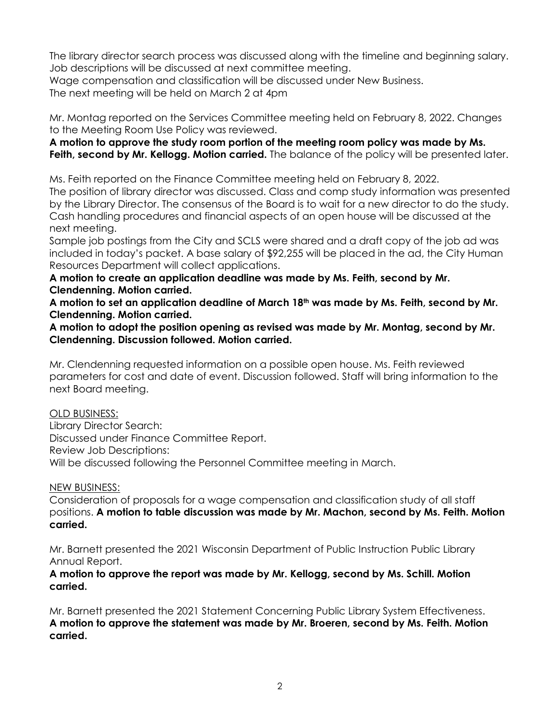The library director search process was discussed along with the timeline and beginning salary. Job descriptions will be discussed at next committee meeting.

Wage compensation and classification will be discussed under New Business.

The next meeting will be held on March 2 at 4pm

Mr. Montag reported on the Services Committee meeting held on February 8, 2022. Changes to the Meeting Room Use Policy was reviewed.

**A motion to approve the study room portion of the meeting room policy was made by Ms. Feith, second by Mr. Kellogg. Motion carried.** The balance of the policy will be presented later.

Ms. Feith reported on the Finance Committee meeting held on February 8, 2022.

The position of library director was discussed. Class and comp study information was presented by the Library Director. The consensus of the Board is to wait for a new director to do the study. Cash handling procedures and financial aspects of an open house will be discussed at the next meeting.

Sample job postings from the City and SCLS were shared and a draft copy of the job ad was included in today's packet. A base salary of \$92,255 will be placed in the ad, the City Human Resources Department will collect applications.

**A motion to create an application deadline was made by Ms. Feith, second by Mr. Clendenning. Motion carried.**

**A motion to set an application deadline of March 18th was made by Ms. Feith, second by Mr. Clendenning. Motion carried.**

**A motion to adopt the position opening as revised was made by Mr. Montag, second by Mr. Clendenning. Discussion followed. Motion carried.**

Mr. Clendenning requested information on a possible open house. Ms. Feith reviewed parameters for cost and date of event. Discussion followed. Staff will bring information to the next Board meeting.

### OLD BUSINESS:

Library Director Search: Discussed under Finance Committee Report. Review Job Descriptions: Will be discussed following the Personnel Committee meeting in March.

### NEW BUSINESS:

Consideration of proposals for a wage compensation and classification study of all staff positions. **A motion to table discussion was made by Mr. Machon, second by Ms. Feith. Motion carried.**

Mr. Barnett presented the 2021 Wisconsin Department of Public Instruction Public Library Annual Report.

#### **A motion to approve the report was made by Mr. Kellogg, second by Ms. Schill. Motion carried.**

Mr. Barnett presented the 2021 Statement Concerning Public Library System Effectiveness. **A motion to approve the statement was made by Mr. Broeren, second by Ms. Feith. Motion carried.**